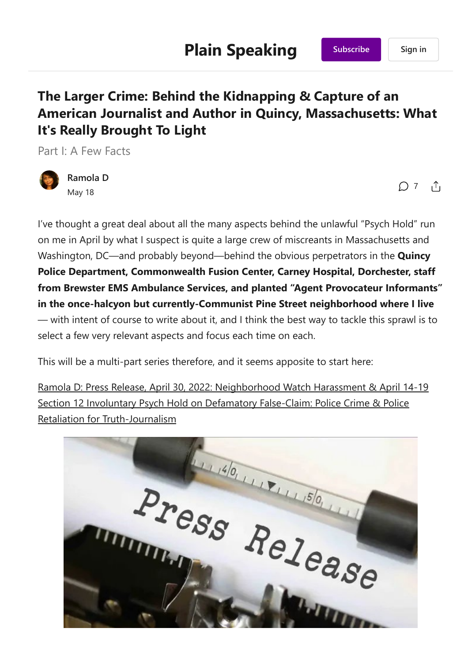# The Larger Crime: Behind the Kidnapping & Capture of an American Journalist and Author in Quincy, Massachusetts: What It's Really Brought To Light

Part I: A Few Facts



[Ramola](https://substack.com/profile/42395805-ramola-d) D May 18

 $\bigcap$  [7](https://ramolad.substack.com/p/the-larger-crime-behind-the-kidnapping/comments)  $\bigcap$ 

I've thought a great deal about all the many aspects behind the unlawful "Psych Hold" run on me in April by what I suspect is quite a large crew of miscreants in Massachusetts and Washington, DC—and probably beyond—behind the obvious perpetrators in the **Quincy** Police Department, Commonwealth Fusion Center, Carney Hospital, Dorchester, staff from Brewster EMS Ambulance Services, and planted "Agent Provocateur Informants" in the once-halcyon but currently-Communist Pine Street neighborhood where I live — with intent of course to write about it, and I think the best way to tackle this sprawl is to select a few very relevant aspects and focus each time on each.

This will be a multi-part series therefore, and it seems apposite to start here:

Ramola D: Press Release, April 30, 2022: [Neighborhood](https://everydayconcerned.net/2022/04/30/ramola-d-press-release-april-30-2022-neighborhood-watch-harassment-april-14-19-section-12-involuntary-psych-hold-on-defamatory-false-claim-police-crime-police-retaliation-for-truth-journalism/) Watch Harassment & April 14‐19 Section 12 Involuntary Psych Hold on Defamatory False-Claim: Police Crime & Police Retaliation for [Truth‐Journalism](https://everydayconcerned.net/2022/04/30/ramola-d-press-release-april-30-2022-neighborhood-watch-harassment-april-14-19-section-12-involuntary-psych-hold-on-defamatory-false-claim-police-crime-police-retaliation-for-truth-journalism/)

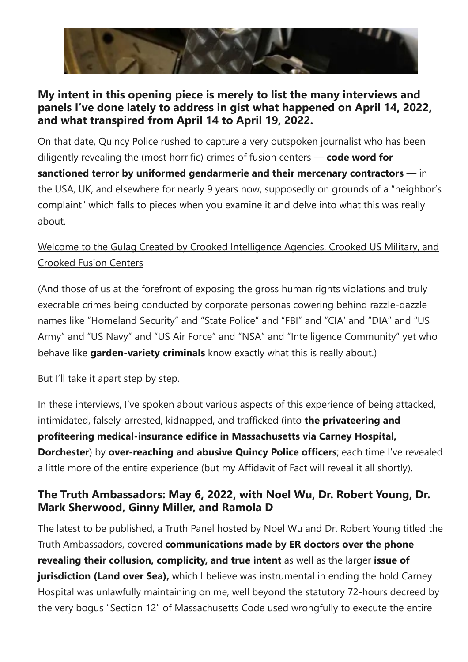

### My intent in this opening piece is merely to list the many interviews and panels I've done lately to address in gist what happened on April 14, 2022, and what transpired from April 14 to April 19, 2022.

On that date, Quincy Police rushed to capture a very outspoken journalist who has been diligently revealing the (most horrific) crimes of fusion centers  $\sim$  code word for sanctioned terror by uniformed gendarmerie and their mercenary contractors – in the USA, UK, and elsewhere for nearly 9 years now, supposedly on grounds of a "neighbor's complaint" which falls to pieces when you examine it and delve into what this was really about.

# Welcome to the Gulag Created by Crooked [Intelligence](https://everydayconcerned.net/disclosure/welcome-to-the-gulag-created-by-crooked-intelligence-agencies-crooked-us-military-and-crooked-fusion-centers/) Agencies, Crooked US Military, and [Crooked](https://everydayconcerned.net/disclosure/welcome-to-the-gulag-created-by-crooked-intelligence-agencies-crooked-us-military-and-crooked-fusion-centers/) Fusion Centers

(And those of us at the forefront of exposing the gross human rights violations and truly execrable crimes being conducted by corporate personas cowering behind razzle‐dazzle names like "Homeland Security" and "State Police" and "FBI" and "CIA' and "DIA" and "US Army" and "US Navy" and "US Air Force" and "NSA" and "Intelligence Community" yet who behave like garden-variety criminals know exactly what this is really about.)

But I'll take it apart step by step.

In these interviews, I've spoken about various aspects of this experience of being attacked, intimidated, falsely-arrested, kidnapped, and trafficked (into the privateering and profiteering medical‐insurance edifice in Massachusetts via Carney Hospital, Dorchester) by over-reaching and abusive Quincy Police officers; each time I've revealed a little more of the entire experience (but my Affidavit of Fact will reveal it all shortly).

## The Truth [Ambassadors:](https://substackcdn.com/image/fetch/f_auto,q_auto:good,fl_progressive:steep/https://bucketeer-e05bbc84-baa3-437e-9518-adb32be77984.s3.amazonaws.com/public/images/009fe4ef-7084-4842-92dd-51726d112e05_600x401.webp) May 6, 2022, with Noel Wu, Dr. Robert Young, Dr. Mark Sherwood, Ginny Miller, and Ramola D

The latest to be published, a Truth Panel hosted by Noel Wu and Dr. Robert Young titled the Truth Ambassadors, covered communications made by ER doctors over the phone revealing their collusion, complicity, and true intent as well as the larger issue of jurisdiction (Land over Sea), which I believe was instrumental in ending the hold Carney Hospital was unlawfully maintaining on me, well beyond the statutory 72‐hours decreed by the very bogus "Section 12" of Massachusetts Code used wrongfully to execute the entire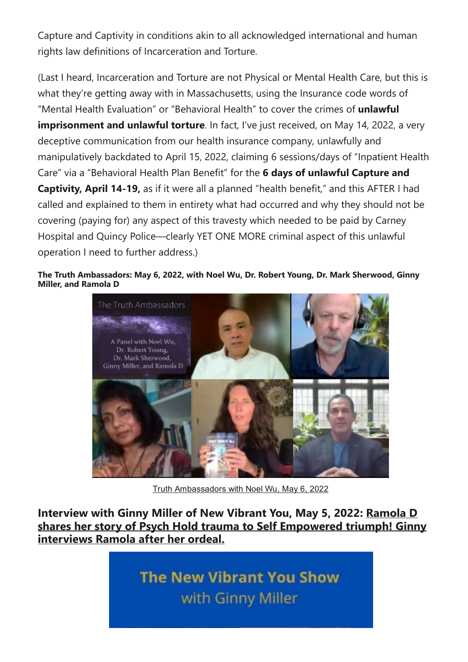Capture and Captivity in conditions akin to all acknowledged international and human rights law definitions of Incarceration and Torture.

﴾Last I heard, Incarceration and Torture are not Physical or Mental Health Care, but this is what they're getting away with in Massachusetts, using the Insurance code words of "Mental Health Evaluation" or "Behavioral Health" to cover the crimes of unlawful imprisonment and unlawful torture. In fact, I've just received, on May 14, 2022, a very deceptive communication from our health insurance company, unlawfully and manipulatively backdated to April 15, 2022, claiming 6 sessions/days of "Inpatient Health Care" via a "Behavioral Health Plan Benefit" for the 6 days of unlawful Capture and Captivity, April 14-19, as if it were all a planned "health benefit," and this AFTER I had called and explained to them in entirety what had occurred and why they should not be covering (paying for) any aspect of this travesty which needed to be paid by Carney Hospital and Quincy Police—clearly YET ONE MORE criminal aspect of this unlawful operation I need to further address.)

#### The Truth Ambassadors: May 6, 2022, with Noel Wu, Dr. Robert Young, Dr. Mark Sherwood, Ginny Miller, and Ramola D



Truth [Ambassadors](https://rumble.com/v14f78o-truth-ambassadors.html) with Noel Wu, May 6, 2022

Interview with Ginny Miller of New Vibrant You, May 5, 2022: [Ramola](https://rumble.com/v13o5di-ramola-d-shares-her-story-of-psych-hold-trauma-to-triumph-ginny-interviews-.html) D shares her story of Psych Hold trauma to Self [Empowered](https://rumble.com/v13o5di-ramola-d-shares-her-story-of-psych-hold-trauma-to-triumph-ginny-interviews-.html) triumph! Ginny [interviews](https://rumble.com/v13o5di-ramola-d-shares-her-story-of-psych-hold-trauma-to-triumph-ginny-interviews-.html) Ramola after her ordeal.

> **The New Vibrant You Show** with Ginny Miller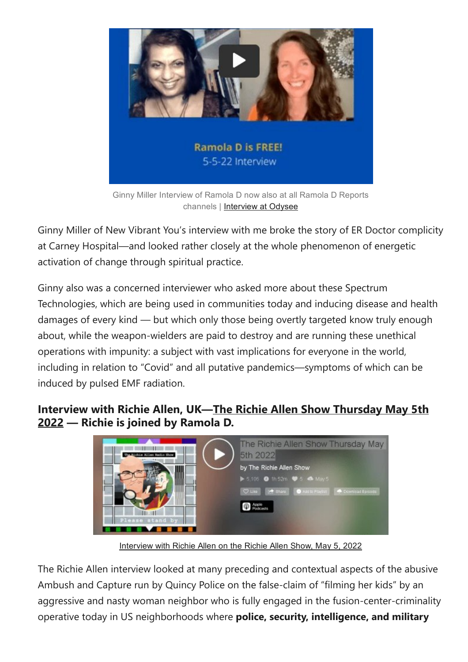

Ginny Miller Interview of Ramola D now also at all Ramola D Reports channels | [Interview](https://odysee.com/@RamolaDReports:8/Interview-with-Ramola-D-5-4-22:b) at Odysee

Ginny Miller of New Vibrant You's interview with me broke the story of ER Doctor complicity at Carney Hospital—and looked rather closely at the whole phenomenon of energetic activation of change through spiritual practice.

Ginny also was a concerned interviewer who asked more about these Spectrum Technologies, which are being used in communities today and inducing disease and health damages of every kind — but which only those being overtly targeted know truly enough about, while the weapon‐wielders are paid to destroy and are running these unethical operations with impunity: a subject with vast implications for everyone in the world, including in relation to "Covid" and all putative pandemics—symptoms of which can be induced by pulsed EMF radiation.

### Interview with Richie Allen, UK—The Richie Allen Show [Thursday](https://www.podomatic.com/podcasts/richieallen/episodes/2022-05-05T11_24_10-07_00) [May](https://www.podomatic.com/podcasts/richieallen/episodes/2022-05-05T11_24_10-07_00) 5th [2022](https://www.podomatic.com/podcasts/richieallen/episodes/2022-05-05T11_24_10-07_00) — Richie is joined by Ramola D.



[Interview](https://www.podomatic.com/podcasts/richieallen/episodes/2022-05-05T11_24_10-07_00) with Richie Allen on the Richie Allen Show, May 5, 2022

The Richie Allen interview looked at many preceding and contextual aspects of the abusive Ambush and Capture run by Quincy Police on the false‐claim of "filming her kids" by an aggressive and nasty woman neighbor who is fully engaged in the [fusion‐center‐criminality](https://rumble.com/v13o5di-ramola-d-shares-her-story-of-psych-hold-trauma-to-triumph-ginny-interviews-.html) operative today in US neighborhoods where police, security, intelligence, and military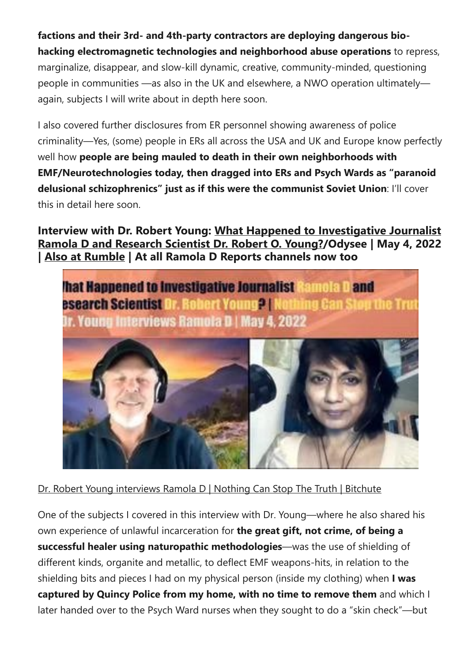factions and their 3rd‐ and 4th‐party contractors are deploying dangerous bio‐ hacking electromagnetic technologies and neighborhood abuse operations to repress, marginalize, disappear, and slow‐kill dynamic, creative, community‐minded, questioning people in communities —as also in the UK and elsewhere, a NWO operation ultimately again, subjects I will write about in depth here soon.

I also covered further disclosures from ER personnel showing awareness of police criminality—Yes, (some) people in ERs all across the USA and UK and Europe know perfectly well how people are being mauled to death in their own neighborhoods with EMF/Neurotechnologies today, then dragged into ERs and Psych Wards as "paranoid delusional schizophrenics" just as if this were the communist Soviet Union: I'll cover this in detail here soon.

Interview with Dr. Robert Young: What Happened to [Investigative](https://odysee.com/@DrRobertYoung:7/Interview-Young-Ramola:5) Journalist Ramola D and [Research](https://odysee.com/@DrRobertYoung:7/Interview-Young-Ramola:5) Scientist Dr. Robert O. Young?/Odysee | May 4, 2022 | Also at [Rumble](https://rumble.com/v13i9ut-what-happened-to-investigative-journalist-ramola-d-and-research-scientist-d.html) | At all Ramola D Reports channels now too



Dr. Robert Young [interviews](https://www.bitchute.com/video/hK8XaSgOPKnN/) Ramola D | Nothing Can Stop The Truth | Bitchute

One of the subjects I covered in this interview with Dr. Young—where he also shared his own experience of unlawful incarceration for the great gift, not crime, of being a successful healer using naturopathic methodologies—was the use of shielding of different kinds, organite and metallic, to deflect EMF weapons‐hits, in relation to the shielding bits and pieces I had on my physical person (inside my clothing) when I was captured by Quincy Police from my home, with no time to remove them and which I later handed over to the Psych Ward nurses when they sought to do a "skin check"—but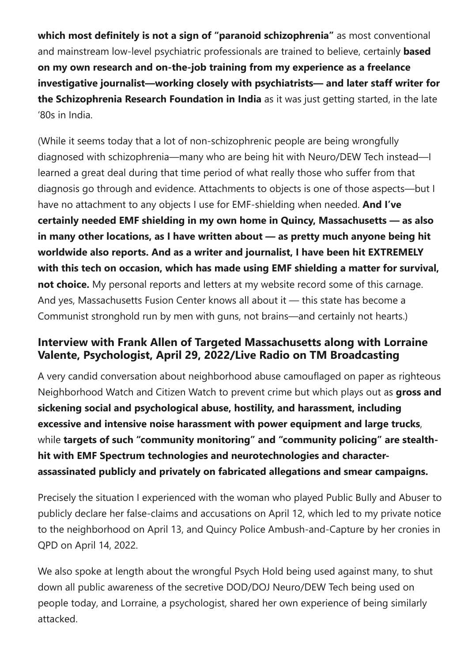which most definitely is not a sign of "paranoid schizophrenia" as most conventional and mainstream low-level psychiatric professionals are trained to believe, certainly **based** on my own research and on-the-job training from my experience as a freelance investigative journalist—working closely with psychiatrists— and later staff writer for the Schizophrenia Research Foundation in India as it was just getting started, in the late '80s in India.

﴾While it seems today that a lot of non‐schizophrenic people are being wrongfully diagnosed with schizophrenia—many who are being hit with Neuro/DEW Tech instead—I learned a great deal during that time period of what really those who suffer from that diagnosis go through and evidence. Attachments to objects is one of those aspects—but I have no attachment to any objects I use for EMF-shielding when needed. And I've certainly needed EMF shielding in my own home in Quincy, Massachusetts — as also in many other locations, as I have written about — as pretty much anyone being hit worldwide also reports. And as a writer and journalist, I have been hit EXTREMELY with this tech on occasion, which has made using EMF shielding a matter for survival, not choice. My personal reports and letters at my website record some of this carnage. And yes, Massachusetts Fusion Center knows all about it — this state has become a Communist stronghold run by men with guns, not brains—and certainly not hearts.)

## Interview with Frank Allen of Targeted Massachusetts along with Lorraine Valente, Psychologist, April 29, 2022/Live Radio on TM Broadcasting

A very candid conversation about neighborhood abuse camouflaged on paper as righteous Neighborhood Watch and Citizen Watch to prevent crime but which plays out as gross and sickening social and psychological abuse, hostility, and harassment, including excessive and intensive noise harassment with power equipment and large trucks, while targets of such "community monitoring" and "community policing" are stealthhit with EMF Spectrum technologies and neurotechnologies and character‐ assassinated publicly and privately on fabricated allegations and smear campaigns.

Precisely the situation I experienced with the woman who played Public Bully and Abuser to publicly declare her false‐claims and accusations on April 12, which led to my private notice to the neighborhood on April 13, and Quincy Police Ambush‐and‐Capture by her cronies in QPD on April 14, 2022.

We also spoke at length about the wrongful Psych Hold being used against many, to shut down all public awareness of the secretive DOD/DOJ Neuro/DEW Tech being used on people today, and Lorraine, a psychologist, shared her own experience of being similarly attacked.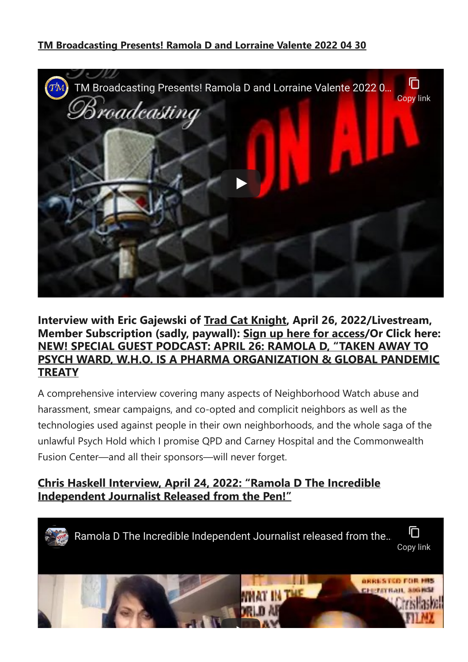#### TM [Broadcasting](https://www.youtube.com/watch?v=qpdsUr2I2NE) Presents! Ramola D and Lorraine Valente 2022 04 30



#### Interview with Eric Gajewski of Trad Cat [Knight](https://tradcatknight.org/sg-video-interviews-2022/), April 26, 2022/Livestream, Member Subscription (sadly, paywall): Sign up here for [access/](https://tradcatknight.org/sg-2-podcast-2022/)Or Click here: NEW! SPECIAL GUEST [PODCAST:](https://tradcatknight.org/2022/04/26/new-special-guest-podcast-april-26-ramola-d-taken-away-to-psych-ward-w-h-o-is-a-pharma-organization-global-pandemic-treaty/) APRIL 26: RAMOLA D, "TAKEN AWAY TO PSYCH WARD, W.H.O. IS A PHARMA [ORGANIZATION](https://tradcatknight.org/2022/04/26/new-special-guest-podcast-april-26-ramola-d-taken-away-to-psych-ward-w-h-o-is-a-pharma-organization-global-pandemic-treaty/) & GLOBAL PANDEMIC **[TREATY](https://tradcatknight.org/2022/04/26/new-special-guest-podcast-april-26-ramola-d-taken-away-to-psych-ward-w-h-o-is-a-pharma-organization-global-pandemic-treaty/)**

A comprehensive interview covering many aspects of Neighborhood Watch abuse and harassment, smear campaigns, and co-opted and complicit neighbors as well as the technologies used against people in their own neighborhoods, and the whole saga of the unlawful Psych Hold which I promise QPD and Carney Hospital and the Commonwealth Fusion Center—and all their sponsors—will never forget.

### Chris Haskell [Interview,](https://everydayconcerned.net/2022/04/26/chris-haskell-interview-april-24-2022-ramola-d-the-incredible-independent-journalist-released-from-the-pen/) April 24, [2022:](https://everydayconcerned.net/2022/04/26/chris-haskell-interview-april-24-2022-ramola-d-the-incredible-independent-journalist-released-from-the-pen/) "Ramola D The [Incredible](https://everydayconcerned.net/2022/04/26/chris-haskell-interview-april-24-2022-ramola-d-the-incredible-independent-journalist-released-from-the-pen/) [Independent](https://everydayconcerned.net/2022/04/26/chris-haskell-interview-april-24-2022-ramola-d-the-incredible-independent-journalist-released-from-the-pen/) Journalist Released from the Pen!"

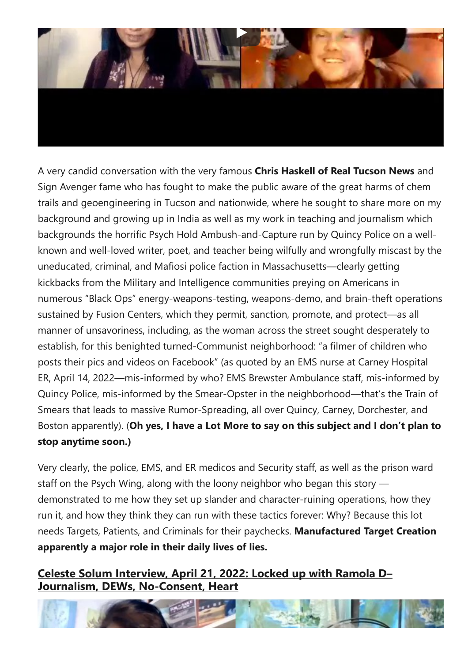

A very candid conversation with the very famous Chris Haskell of Real Tucson News and Sign Avenger fame who has fought to make the public aware of the great harms of chem trails and geoengineering in Tucson and nationwide, where he sought to share more on my background and growing up in India as well as my work in teaching and journalism which backgrounds the horrific Psych Hold Ambush‐and‐Capture run by Quincy Police on a well‐ known and well‐loved writer, poet, and teacher being wilfully and wrongfully miscast by the uneducated, criminal, and Mafiosi police faction in Massachusetts—clearly getting kickbacks from the Military and Intelligence communities preying on Americans in numerous "Black Ops" energy‐weapons‐testing, weapons‐demo, and brain‐theft operations sustained by Fusion Centers, which they permit, sanction, promote, and protect—as all manner of unsavoriness, including, as the woman across the street sought desperately to establish, for this benighted turned‐Communist neighborhood: "a filmer of children who posts their pics and videos on Facebook" (as quoted by an EMS nurse at Carney Hospital ER, April 14, 2022—mis‐informed by who? EMS Brewster Ambulance staff, mis‐informed by Quincy Police, mis‐informed by the Smear‐Opster in the neighborhood—that's the Train of Smears that leads to massive Rumor‐Spreading, all over Quincy, Carney, Dorchester, and Boston apparently). (Oh yes, I have a Lot More to say on this subject and I don't plan to stop anytime soon.)

Very clearly, the police, EMS, and ER medicos and Security staff, as well as the prison ward staff on the Psych Wing, along with the loony neighbor who began this story demonstrated to me how they set up slander and character‐ruining operations, how they run it, and how they think they can run with these tactics forever: Why? Because this lot needs Targets, Patients, and Criminals for their paychecks. Manufactured Target Creation apparently a major role in their daily lives of lies.

#### Celeste Solum [Interview,](https://everydayconcerned.net/2022/04/24/celeste-solum-interview-april-21-2022-locked-up-with-ramola-d-journalism-dews-no-consent-heart/) April 21, [2022:](https://everydayconcerned.net/2022/04/24/celeste-solum-interview-april-21-2022-locked-up-with-ramola-d-journalism-dews-no-consent-heart/) Locked up with [Ramola](https://everydayconcerned.net/2022/04/24/celeste-solum-interview-april-21-2022-locked-up-with-ramola-d-journalism-dews-no-consent-heart/) D– Journalism, DEWs, [No‐Consent,](https://everydayconcerned.net/2022/04/24/celeste-solum-interview-april-21-2022-locked-up-with-ramola-d-journalism-dews-no-consent-heart/) Heart

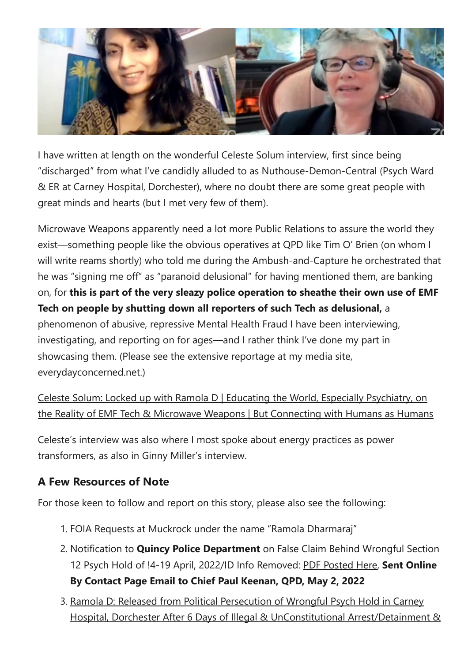

I have written at length on the wonderful Celeste Solum interview, first since being "discharged" from what I've candidly alluded to as Nuthouse-Demon-Central (Psych Ward & ER at Carney Hospital, Dorchester), where no doubt there are some great people with great minds and hearts (but I met very few of them).

Microwave Weapons apparently need a lot more Public Relations to assure the world they exist—something people like the obvious operatives at QPD like Tim O' Brien (on whom I will write reams shortly) who told me during the Ambush-and-Capture he orchestrated that he was "signing me off" as "paranoid delusional" for having mentioned them, are banking on, for this is part of the very sleazy police operation to sheathe their own use of EMF Tech on people by shutting down all reporters of such Tech as delusional, a phenomenon of abusive, repressive Mental Health Fraud I have been interviewing, investigating, and reporting on for ages—and I rather think I've done my part in showcasing them. (Please see the extensive reportage at my media site, everydayconcerned.net.)

Celeste Solum: Locked up with Ramola D | Educating the World, Especially [Psychiatry,](https://everydayconcerned.net/2022/04/22/celeste-solum-locked-up-with-ramola-d-educating-the-world-especially-psychiatry-on-the-reality-of-emf-tech-microwave-weapons-but-connecting-with-humans-as-humans/) on the Reality of EMF Tech & Microwave Weapons | But [Connecting](https://everydayconcerned.net/2022/04/22/celeste-solum-locked-up-with-ramola-d-educating-the-world-especially-psychiatry-on-the-reality-of-emf-tech-microwave-weapons-but-connecting-with-humans-as-humans/) with Humans as Humans

Celeste's interview was also where I most spoke about energy practices as power transformers, as also in Ginny Miller's interview.

# A Few Resources of Note

For those keen to follow and report on this story, please also see the following:

- 1. FOIA Requests at Muckrock under the name "Ramola Dharmaraj"
- 2. Notification to **Quincy Police Department** on False Claim Behind Wrongful Section 12 Psych Hold of !4-19 April, 2022/ID Info Removed: PDF [Posted](https://everydayconcerned.net/wp-content/uploads/2022/05/Notification-to-Quincy-Police-Dept-False-Claim-ID-Info-removed.pdf) Here, Sent Online By Contact Page Email to Chief Paul Keenan, QPD, May 2, 2022
- 3. Ramola D: Released from Political [Persecution](https://everydayconcerned.net/2022/04/20/ramola-d-released-from-political-persecution-of-wrongful-psych-hold-in-carney-hospital-dorchester-after-6-days-of-illegal-unconstitutional-arrest-detainment-kidnapping-by-quincy-police-departme/) of Wrongful Psych Hold in Carney Hospital, Dorchester After 6 Days of Illegal & UnConstitutional [Arrest/Detainment](https://substackcdn.com/image/fetch/f_auto,q_auto:good,fl_progressive:steep/https://bucketeer-e05bbc84-baa3-437e-9518-adb32be77984.s3.amazonaws.com/public/images/bd07023f-4737-4f77-b5af-8460616e957b_771x258.png) &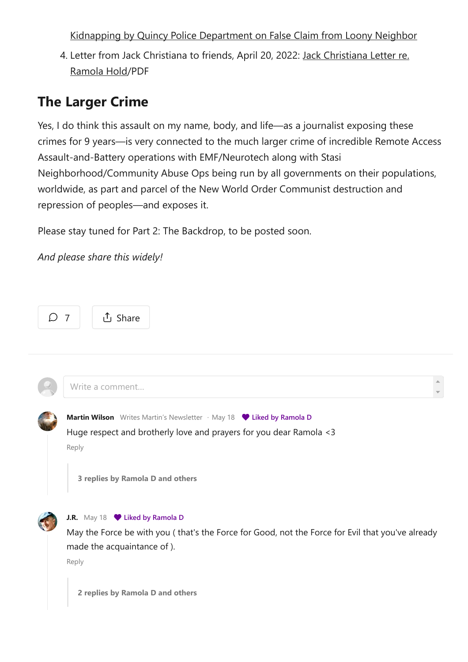Kidnapping by Quincy Police [Department](https://everydayconcerned.net/2022/04/20/ramola-d-released-from-political-persecution-of-wrongful-psych-hold-in-carney-hospital-dorchester-after-6-days-of-illegal-unconstitutional-arrest-detainment-kidnapping-by-quincy-police-departme/) on False Claim from Loony Neighbor

4. Letter from Jack Christiana to friends, April 20, 2022: Jack [Christiana](https://everydayconcerned.net/wp-content/uploads/2022/05/Jack-Christiana-Letter-re.-Ramola-Hold-April-20-2022.pdf) Letter re. [Ramola](https://everydayconcerned.net/wp-content/uploads/2022/05/Jack-Christiana-Letter-re.-Ramola-Hold-April-20-2022.pdf) Hold/PDF

# The Larger Crime

Yes, I do think this assault on my name, body, and life—as a journalist exposing these crimes for 9 years—is very connected to the much larger crime of incredible Remote Access Assault‐and‐Battery operations with EMF/Neurotech along with Stasi Neighborhood/Community Abuse Ops being run by all governments on their populations, worldwide, as part and parcel of the New World Order Communist destruction and repression of peoples—and exposes it.

Please stay tuned for Part 2: The Backdrop, to be posted soon.

*And please share this widely!*